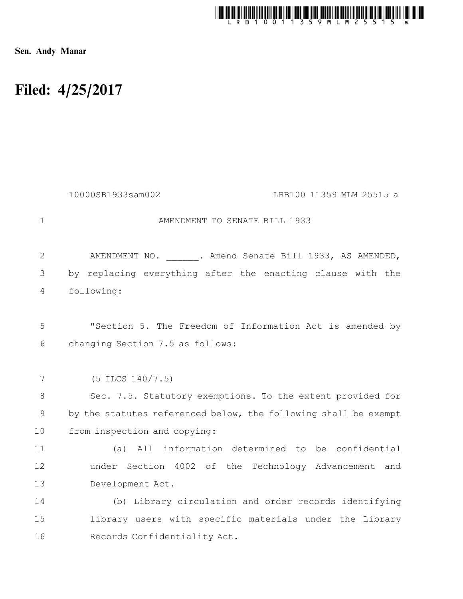

Sen. Andy Manar

# Filed: 4/25/2017

|              | 10000SB1933sam002<br>LRB100 11359 MLM 25515 a                   |
|--------------|-----------------------------------------------------------------|
| $\mathbf{1}$ | AMENDMENT TO SENATE BILL 1933                                   |
| $\mathbf{2}$ | AMENDMENT NO. . Amend Senate Bill 1933, AS AMENDED,             |
| 3            | by replacing everything after the enacting clause with the      |
| 4            | following:                                                      |
|              |                                                                 |
| 5            | "Section 5. The Freedom of Information Act is amended by        |
| 6            | changing Section 7.5 as follows:                                |
|              |                                                                 |
| 7            | $(5$ ILCS $140/7.5)$                                            |
| 8            | Sec. 7.5. Statutory exemptions. To the extent provided for      |
| $\mathsf 9$  | by the statutes referenced below, the following shall be exempt |
| 10           | from inspection and copying:                                    |
| 11           | All information determined to be confidential<br>(a)            |
| 12           | under Section 4002 of the Technology Advancement and            |
| 13           | Development Act.                                                |
| 14           | (b) Library circulation and order records identifying           |
| 15           | library users with specific materials under the Library         |
| 16           | Records Confidentiality Act.                                    |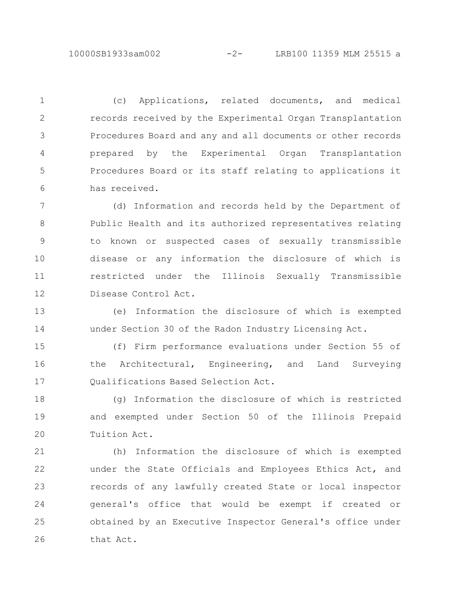(c) Applications, related documents, and medical records received by the Experimental Organ Transplantation Procedures Board and any and all documents or other records prepared by the Experimental Organ Transplantation Procedures Board or its staff relating to applications it has received. 1 2 3 4 5 6

(d) Information and records held by the Department of Public Health and its authorized representatives relating to known or suspected cases of sexually transmissible disease or any information the disclosure of which is restricted under the Illinois Sexually Transmissible Disease Control Act. 7 8 9 10 11 12

(e) Information the disclosure of which is exempted under Section 30 of the Radon Industry Licensing Act. 13 14

(f) Firm performance evaluations under Section 55 of the Architectural, Engineering, and Land Surveying Qualifications Based Selection Act. 15 16 17

(g) Information the disclosure of which is restricted and exempted under Section 50 of the Illinois Prepaid Tuition Act. 18 19 20

(h) Information the disclosure of which is exempted under the State Officials and Employees Ethics Act, and records of any lawfully created State or local inspector general's office that would be exempt if created or obtained by an Executive Inspector General's office under that Act. 21 22 23 24 25 26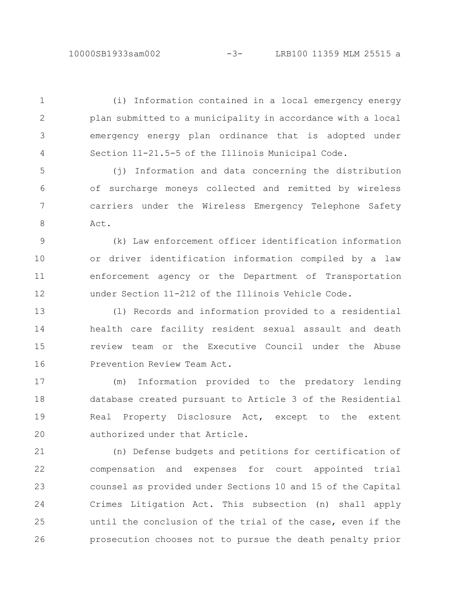(i) Information contained in a local emergency energy plan submitted to a municipality in accordance with a local emergency energy plan ordinance that is adopted under Section 11-21.5-5 of the Illinois Municipal Code. (j) Information and data concerning the distribution of surcharge moneys collected and remitted by wireless carriers under the Wireless Emergency Telephone Safety Act. (k) Law enforcement officer identification information or driver identification information compiled by a law enforcement agency or the Department of Transportation under Section 11-212 of the Illinois Vehicle Code. (l) Records and information provided to a residential health care facility resident sexual assault and death review team or the Executive Council under the Abuse Prevention Review Team Act. 1 2 3 4 5 6 7 8 9 10 11 12 13 14 15 16

(m) Information provided to the predatory lending database created pursuant to Article 3 of the Residential Real Property Disclosure Act, except to the extent authorized under that Article. 17 18 19 20

(n) Defense budgets and petitions for certification of compensation and expenses for court appointed trial counsel as provided under Sections 10 and 15 of the Capital Crimes Litigation Act. This subsection (n) shall apply until the conclusion of the trial of the case, even if the prosecution chooses not to pursue the death penalty prior 21 22 23 24 25 26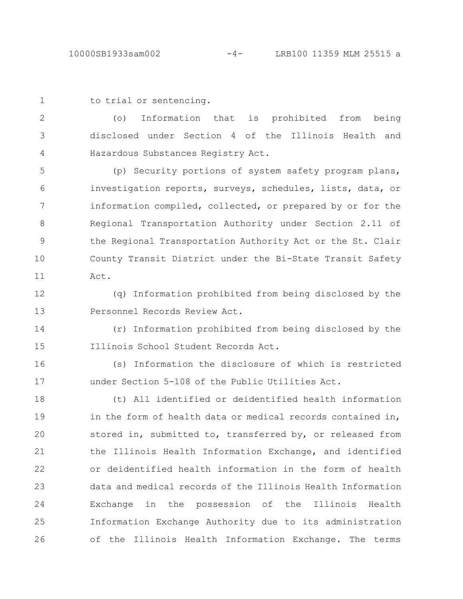```
to trial or sentencing.
1
```
(o) Information that is prohibited from being disclosed under Section 4 of the Illinois Health and Hazardous Substances Registry Act. 2 3 4

(p) Security portions of system safety program plans, investigation reports, surveys, schedules, lists, data, or information compiled, collected, or prepared by or for the Regional Transportation Authority under Section 2.11 of the Regional Transportation Authority Act or the St. Clair County Transit District under the Bi-State Transit Safety Act. 5 6 7 8 9 10 11

(q) Information prohibited from being disclosed by the Personnel Records Review Act. 12 13

(r) Information prohibited from being disclosed by the Illinois School Student Records Act. 14 15

(s) Information the disclosure of which is restricted under Section 5-108 of the Public Utilities Act. 16 17

(t) All identified or deidentified health information in the form of health data or medical records contained in, stored in, submitted to, transferred by, or released from the Illinois Health Information Exchange, and identified or deidentified health information in the form of health data and medical records of the Illinois Health Information Exchange in the possession of the Illinois Health Information Exchange Authority due to its administration of the Illinois Health Information Exchange. The terms 18 19 20 21 22 23 24 25 26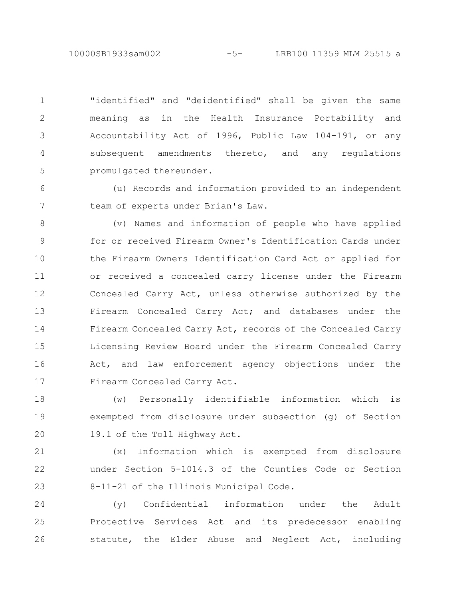10000SB1933sam002 -5- LRB100 11359 MLM 25515 a

"identified" and "deidentified" shall be given the same meaning as in the Health Insurance Portability and Accountability Act of 1996, Public Law 104-191, or any subsequent amendments thereto, and any regulations promulgated thereunder. 1 2 3 4 5

(u) Records and information provided to an independent team of experts under Brian's Law. 6 7

(v) Names and information of people who have applied for or received Firearm Owner's Identification Cards under the Firearm Owners Identification Card Act or applied for or received a concealed carry license under the Firearm Concealed Carry Act, unless otherwise authorized by the Firearm Concealed Carry Act; and databases under the Firearm Concealed Carry Act, records of the Concealed Carry Licensing Review Board under the Firearm Concealed Carry Act, and law enforcement agency objections under the Firearm Concealed Carry Act. 8 9 10 11 12 13 14 15 16 17

(w) Personally identifiable information which is exempted from disclosure under subsection (g) of Section 19.1 of the Toll Highway Act. 18 19 20

(x) Information which is exempted from disclosure under Section 5-1014.3 of the Counties Code or Section 8-11-21 of the Illinois Municipal Code. 21 22 23

(y) Confidential information under the Adult Protective Services Act and its predecessor enabling statute, the Elder Abuse and Neglect Act, including 24 25 26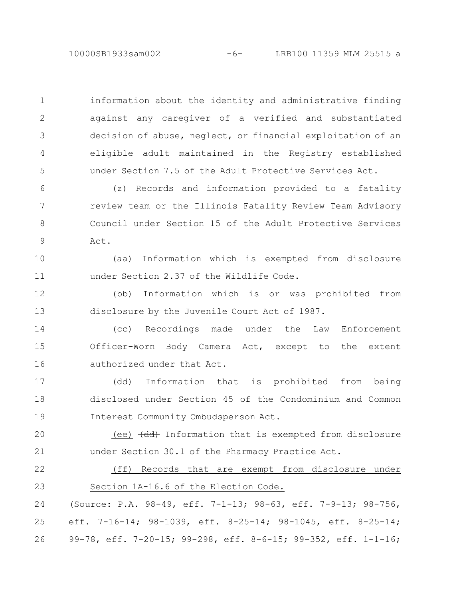information about the identity and administrative finding against any caregiver of a verified and substantiated decision of abuse, neglect, or financial exploitation of an eligible adult maintained in the Registry established under Section 7.5 of the Adult Protective Services Act.

1

2

3

4

5

(z) Records and information provided to a fatality review team or the Illinois Fatality Review Team Advisory Council under Section 15 of the Adult Protective Services Act. 6 7 8 9

(aa) Information which is exempted from disclosure under Section 2.37 of the Wildlife Code. 10 11

(bb) Information which is or was prohibited from disclosure by the Juvenile Court Act of 1987. 12 13

(cc) Recordings made under the Law Enforcement Officer-Worn Body Camera Act, except to the extent authorized under that Act. 14 15 16

(dd) Information that is prohibited from being disclosed under Section 45 of the Condominium and Common Interest Community Ombudsperson Act. 17 18 19

(ee)  $\left(\frac{dd}{d}\right)$  Information that is exempted from disclosure under Section 30.1 of the Pharmacy Practice Act. 20 21

(ff) Records that are exempt from disclosure under Section 1A-16.6 of the Election Code. 22 23

(Source: P.A. 98-49, eff. 7-1-13; 98-63, eff. 7-9-13; 98-756, eff. 7-16-14; 98-1039, eff. 8-25-14; 98-1045, eff. 8-25-14; 99-78, eff. 7-20-15; 99-298, eff. 8-6-15; 99-352, eff. 1-1-16; 24 25 26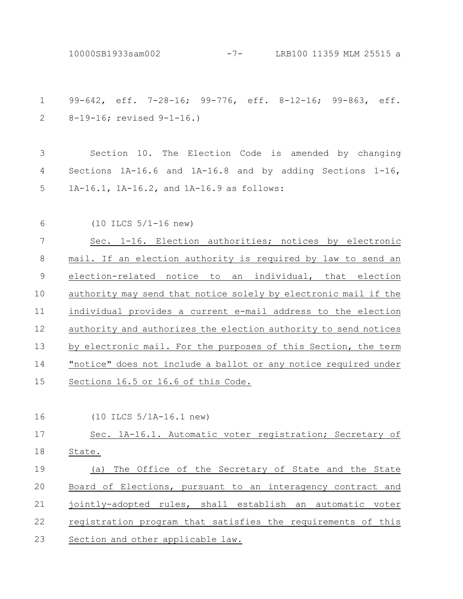10000SB1933sam002 -7- LRB100 11359 MLM 25515 a

99-642, eff. 7-28-16; 99-776, eff. 8-12-16; 99-863, eff. 8-19-16; revised 9-1-16.) 1 2

Section 10. The Election Code is amended by changing Sections 1A-16.6 and 1A-16.8 and by adding Sections 1-16, 1A-16.1, 1A-16.2, and 1A-16.9 as follows: 3 4 5

(10 ILCS 5/1-16 new) 6

Sec. 1-16. Election authorities; notices by electronic mail. If an election authority is required by law to send an election-related notice to an individual, that election authority may send that notice solely by electronic mail if the individual provides a current e-mail address to the election authority and authorizes the election authority to send notices by electronic mail. For the purposes of this Section, the term "notice" does not include a ballot or any notice required under Sections 16.5 or 16.6 of this Code. 7 8 9 10 11 12 13 14 15

(10 ILCS 5/1A-16.1 new) 16

### Sec. 1A-16.1. Automatic voter registration; Secretary of State. (a) The Office of the Secretary of State and the State Board of Elections, pursuant to an interagency contract and jointly-adopted rules, shall establish an automatic voter 17 18 19 20 21

registration program that satisfies the requirements of this Section and other applicable law. 22 23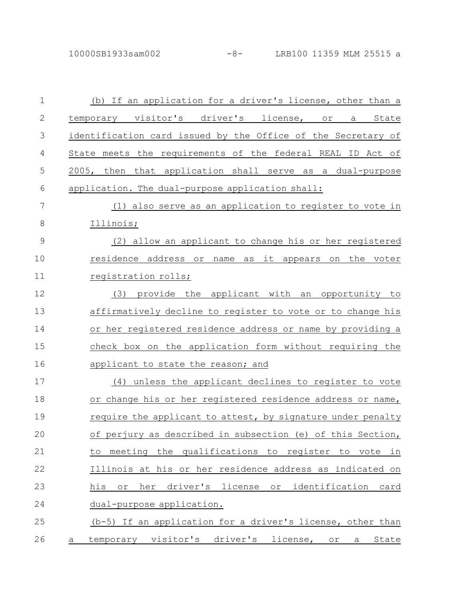10000SB1933sam002 -8- LRB100 11359 MLM 25515 a

| $\mathbf 1$    |              | (b) If an application for a driver's license, other than a      |
|----------------|--------------|-----------------------------------------------------------------|
| $\mathbf{2}$   |              | temporary visitor's driver's license, or a State                |
| $\mathfrak{Z}$ |              | identification card issued by the Office of the Secretary of    |
| 4              |              | State meets the requirements of the federal REAL ID Act of      |
| 5              |              | 2005, then that application shall serve as a dual-purpose       |
| 6              |              | application. The dual-purpose application shall:                |
| 7              |              | (1) also serve as an application to register to vote in         |
| 8              |              | Illinois;                                                       |
| 9              |              | (2) allow an applicant to change his or her registered          |
| 10             |              | name as it appears on the voter<br>residence address or         |
| 11             |              | registration rolls;                                             |
| 12             |              | (3) provide the applicant with an opportunity to                |
| 13             |              | affirmatively decline to register to vote or to change his      |
| 14             |              | or her registered residence address or name by providing a      |
| 15             |              | check box on the application form without requiring the         |
| 16             |              | applicant to state the reason; and                              |
| 17             |              | (4) unless the applicant declines to register to vote           |
| 18             |              | or change his or her registered residence address or name,      |
| 19             |              | require the applicant to attest, by signature under penalty     |
| 20             |              | of perjury as described in subsection (e) of this Section,      |
| 21             |              | to meeting the qualifications to register to vote in            |
| 22             |              | Illinois at his or her residence address as indicated on        |
| 23             |              | her driver's license or identification card<br>his<br>$\circ$ r |
| 24             |              | dual-purpose application.                                       |
| 25             |              | (b-5) If an application for a driver's license, other than      |
| 26             | $\mathsf{a}$ | temporary visitor's driver's license, or a State                |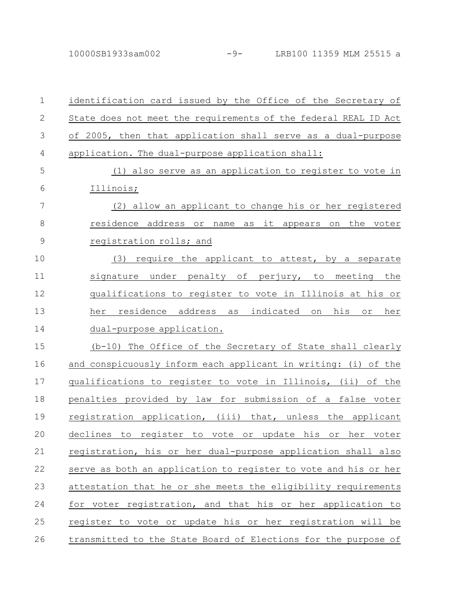| $\mathbf 1$  | identification card issued by the Office of the Secretary of           |
|--------------|------------------------------------------------------------------------|
| $\mathbf{2}$ | State does not meet the requirements of the federal REAL ID Act        |
| 3            | of 2005, then that application shall serve as a dual-purpose           |
| 4            | application. The dual-purpose application shall:                       |
| 5            | (1) also serve as an application to register to vote in                |
| 6            | Illinois;                                                              |
| 7            | (2) allow an applicant to change his or her registered                 |
| 8            | residence address or name as it appears on the voter                   |
| 9            | registration rolls; and                                                |
| 10           | (3) require the applicant to attest, by a separate                     |
| 11           | signature under penalty of perjury, to meeting the                     |
| 12           | qualifications to register to vote in Illinois at his or               |
| 13           | residence address as indicated on<br>his<br>her<br>$\circ$ $\,$<br>her |
| 14           | dual-purpose application.                                              |
| 15           | (b-10) The Office of the Secretary of State shall clearly              |
| 16           | and conspicuously inform each applicant in writing: (i) of the         |
| 17           | qualifications to register to vote in Illinois, (ii) of the            |
| 18           | penalties provided by law for submission of a false voter              |
| 19           | registration application, (iii) that, unless the applicant             |
| 20           | declines to register to vote or<br>update his<br>or<br>her<br>voter    |
| 21           | registration, his or her dual-purpose application shall also           |
| 22           | serve as both an application to register to vote and his or her        |
| 23           | attestation that he or she meets the eligibility requirements          |
| 24           | for voter registration, and that his or her application to             |
| 25           | register to vote or update his or her registration will be             |
| 26           | transmitted to the State Board of Elections for the purpose of         |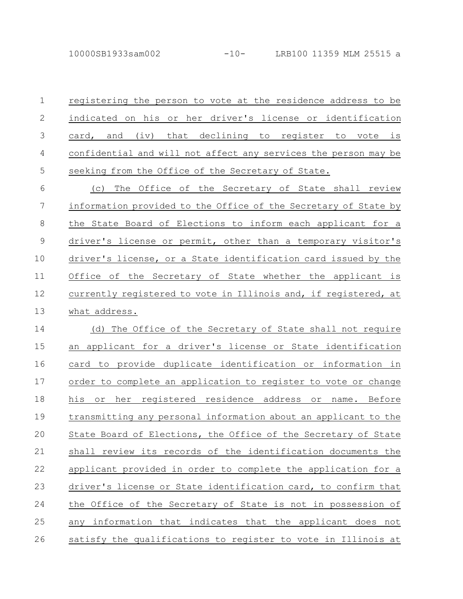10000SB1933sam002 -10- LRB100 11359 MLM 25515 a

registering the person to vote at the residence address to be indicated on his or her driver's license or identification card, and (iv) that declining to register to vote is confidential and will not affect any services the person may be seeking from the Office of the Secretary of State. 1 2 3 4 5

(c) The Office of the Secretary of State shall review information provided to the Office of the Secretary of State by the State Board of Elections to inform each applicant for a driver's license or permit, other than a temporary visitor's driver's license, or a State identification card issued by the Office of the Secretary of State whether the applicant is currently registered to vote in Illinois and, if registered, at what address. 6 7 8 9 10 11 12 13

(d) The Office of the Secretary of State shall not require an applicant for a driver's license or State identification card to provide duplicate identification or information in order to complete an application to register to vote or change his or her registered residence address or name. Before transmitting any personal information about an applicant to the State Board of Elections, the Office of the Secretary of State shall review its records of the identification documents the applicant provided in order to complete the application for a driver's license or State identification card, to confirm that the Office of the Secretary of State is not in possession of any information that indicates that the applicant does not satisfy the qualifications to register to vote in Illinois at 14 15 16 17 18 19 20 21 22 23 24 25 26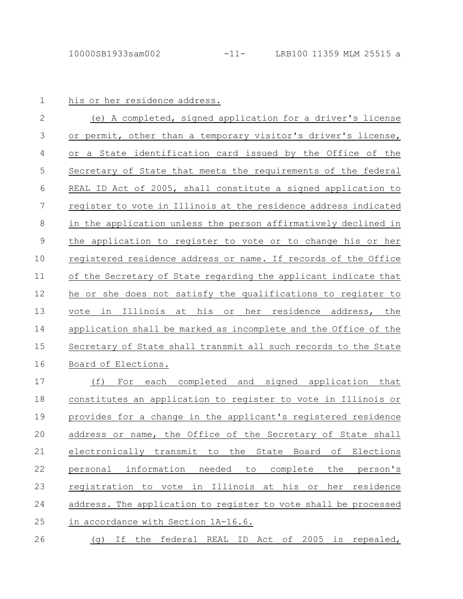#### his or her residence address.

(e) A completed, signed application for a driver's license or permit, other than a temporary visitor's driver's license, or a State identification card issued by the Office of the Secretary of State that meets the requirements of the federal REAL ID Act of 2005, shall constitute a signed application to register to vote in Illinois at the residence address indicated in the application unless the person affirmatively declined in the application to register to vote or to change his or her registered residence address or name. If records of the Office of the Secretary of State regarding the applicant indicate that he or she does not satisfy the qualifications to register to vote in Illinois at his or her residence address, the application shall be marked as incomplete and the Office of the Secretary of State shall transmit all such records to the State Board of Elections. 2 3 4 5 6 7 8 9 10 11 12 13 14 15 16

(f) For each completed and signed application that constitutes an application to register to vote in Illinois or provides for a change in the applicant's registered residence address or name, the Office of the Secretary of State shall electronically transmit to the State Board of Elections personal information needed to complete the person's registration to vote in Illinois at his or her residence address. The application to register to vote shall be processed in accordance with Section 1A-16.6. 17 18 19 20 21 22 23 24 25

(g) If the federal REAL ID Act of 2005 is repealed, 26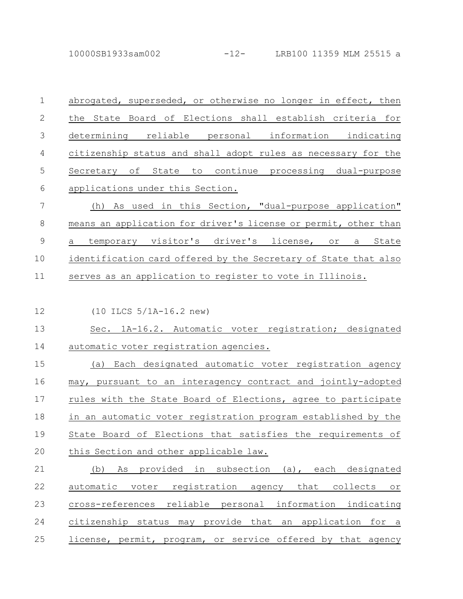10000SB1933sam002 -12- LRB100 11359 MLM 25515 a

| $\mathbf 1$   | abrogated, superseded, or otherwise no longer in effect, then   |
|---------------|-----------------------------------------------------------------|
| $\mathcal{L}$ | the State Board of Elections shall establish criteria for       |
| 3             | determining reliable personal information indicating            |
| 4             | citizenship status and shall adopt rules as necessary for the   |
| 5             | Secretary of State to continue processing dual-purpose          |
| 6             | applications under this Section.                                |
| 7             | (h) As used in this Section, "dual-purpose application"         |
| 8             | means an application for driver's license or permit, other than |
| 9             | temporary visitor's driver's license, or a State<br>a           |
| 10            | identification card offered by the Secretary of State that also |
| 11            | serves as an application to register to vote in Illinois.       |

(10 ILCS 5/1A-16.2 new) 12

Sec. 1A-16.2. Automatic voter registration; designated automatic voter registration agencies. 13 14

(a) Each designated automatic voter registration agency may, pursuant to an interagency contract and jointly-adopted rules with the State Board of Elections, agree to participate in an automatic voter registration program established by the State Board of Elections that satisfies the requirements of this Section and other applicable law. 15 16 17 18 19 20

(b) As provided in subsection (a), each designated automatic voter registration agency that collects or cross-references reliable personal information indicating citizenship status may provide that an application for a license, permit, program, or service offered by that agency 21 22 23 24 25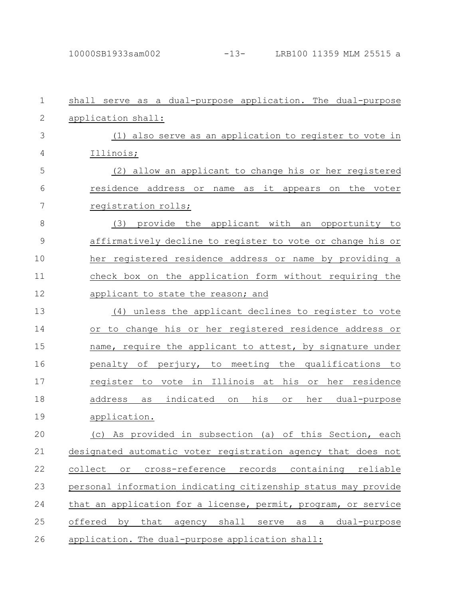| $\mathbf 1$  | shall serve as a dual-purpose application. The dual-purpose    |
|--------------|----------------------------------------------------------------|
| $\mathbf{2}$ | application shall:                                             |
| 3            | (1) also serve as an application to register to vote in        |
| 4            | Illinois;                                                      |
| 5            | (2) allow an applicant to change his or her registered         |
| 6            | residence address or name as it appears<br>the voter<br>on     |
| 7            | registration rolls;                                            |
| 8            | (3) provide the applicant with an opportunity to               |
| 9            | affirmatively decline to register to vote or change his or     |
| 10           | her registered residence address or name by providing a        |
| 11           | check box on the application form without requiring the        |
| 12           | applicant to state the reason; and                             |
| 13           | (4) unless the applicant declines to register to vote          |
| 14           | to change his or her registered residence address or<br>Оr     |
| 15           | name, require the applicant to attest, by signature under      |
| 16           | penalty of perjury, to meeting the qualifications to           |
| 17           | register to vote in Illinois at his or her residence           |
| 18           | as indicated on<br>his<br>address<br>her<br>dual-purpose<br>or |
| 19           | application.                                                   |
| 20           | (c) As provided in subsection (a) of this Section, each        |
| 21           | designated automatic voter registration agency that does not   |
| 22           | collect or cross-reference records<br>containing<br>reliable   |
| 23           | personal information indicating citizenship status may provide |
| 24           | that an application for a license, permit, program, or service |
| 25           | offered by that agency shall serve as<br>dual-purpose<br>a     |
| 26           | application. The dual-purpose application shall:               |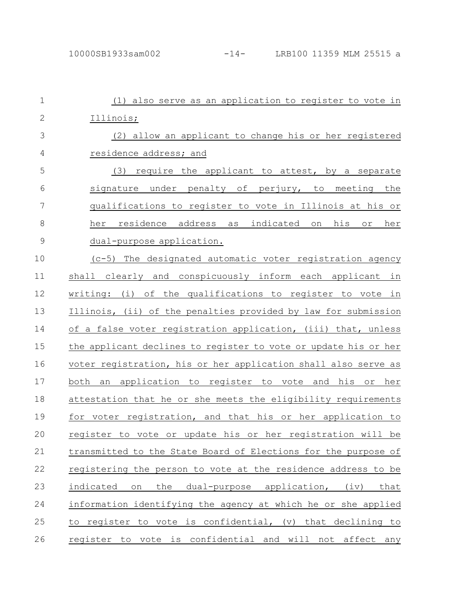| $\mathbf 1$    | (1) also serve as an application to register to vote in                |
|----------------|------------------------------------------------------------------------|
| $\mathbf{2}$   | Illinois;                                                              |
| 3              | (2) allow an applicant to change his or her registered                 |
| $\overline{4}$ | residence address; and                                                 |
| 5              | (3) require the applicant to attest, by a separate                     |
| 6              | signature under penalty of perjury, to meeting the                     |
| 7              | qualifications to register to vote in Illinois at his or               |
| 8              | her residence address as indicated on his or her                       |
| $\mathcal{G}$  | dual-purpose application.                                              |
| 10             | (c-5) The designated automatic voter registration agency               |
| 11             | shall clearly and conspicuously inform each applicant in               |
| 12             | writing: (i) of the qualifications to register to vote in              |
| 13             | Illinois, (ii) of the penalties provided by law for submission         |
| 14             | of a false voter registration application, (iii) that, unless          |
| 15             | the applicant declines to register to vote or update his or her        |
| 16             | voter registration, his or her application shall also serve as         |
| 17             | an application to register to vote and his or her<br>both              |
| 18             | attestation that he or she meets the eligibility requirements          |
| 19             | for voter registration, and that his or her application to             |
| 20             | register to vote or update his or her registration will<br>be          |
| 21             | transmitted to the State Board of Elections for the purpose of         |
| 22             | registering the person to vote at the residence address to be          |
| 23             | indicated<br>the<br>application,<br>that<br>dual-purpose<br>(iv)<br>on |
| 24             | information identifying the agency at which he or she applied          |
| 25             | to register to vote is confidential, (v) that declining to             |
| 26             | register to vote is confidential and will not affect any               |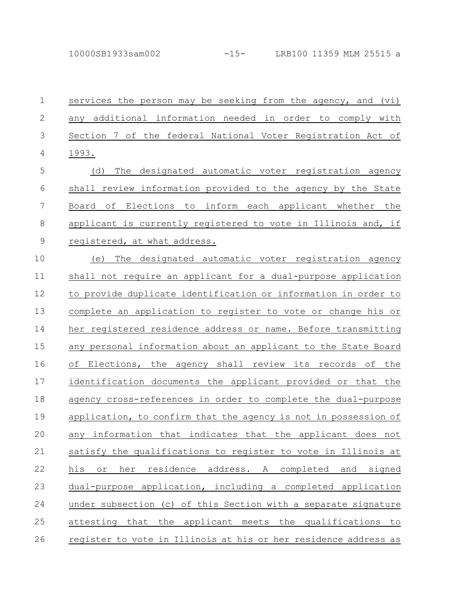10000SB1933sam002 -15- LRB100 11359 MLM 25515 a

services the person may be seeking from the agency, and (vi) any additional information needed in order to comply with Section 7 of the federal National Voter Registration Act of 1993. (d) The designated automatic voter registration agency shall review information provided to the agency by the State Board of Elections to inform each applicant whether the applicant is currently registered to vote in Illinois and, if registered, at what address. (e) The designated automatic voter registration agency shall not require an applicant for a dual-purpose application to provide duplicate identification or information in order to complete an application to register to vote or change his or her registered residence address or name. Before transmitting any personal information about an applicant to the State Board of Elections, the agency shall review its records of the identification documents the applicant provided or that the agency cross-references in order to complete the dual-purpose application, to confirm that the agency is not in possession of any information that indicates that the applicant does not satisfy the qualifications to register to vote in Illinois at his or her residence address. A completed and signed dual-purpose application, including a completed application under subsection (c) of this Section with a separate signature attesting that the applicant meets the qualifications to 1 2 3 4 5 6 7 8 9 10 11 12 13 14 15 16 17 18 19 20 21 22 23 24 25

register to vote in Illinois at his or her residence address as 26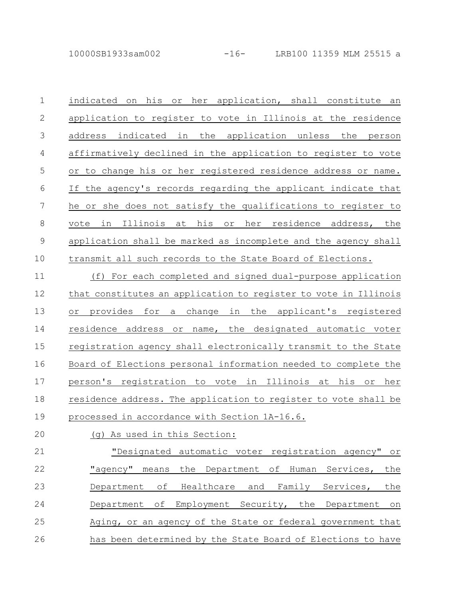indicated on his or her application, shall constitute an application to register to vote in Illinois at the residence address indicated in the application unless the person affirmatively declined in the application to register to vote or to change his or her registered residence address or name. If the agency's records regarding the applicant indicate that he or she does not satisfy the qualifications to register to vote in Illinois at his or her residence address, the application shall be marked as incomplete and the agency shall transmit all such records to the State Board of Elections. 1 2 3 4 5 6 7 8 9 10

(f) For each completed and signed dual-purpose application that constitutes an application to register to vote in Illinois or provides for a change in the applicant's registered residence address or name, the designated automatic voter registration agency shall electronically transmit to the State Board of Elections personal information needed to complete the person's registration to vote in Illinois at his or her residence address. The application to register to vote shall be processed in accordance with Section 1A-16.6. 11 12 13 14 15 16 17 18 19

## 20

(g) As used in this Section:

"Designated automatic voter registration agency" or "agency" means the Department of Human Services, the Department of Healthcare and Family Services, the Department of Employment Security, the Department on Aging, or an agency of the State or federal government that has been determined by the State Board of Elections to have 21 22 23 24 25 26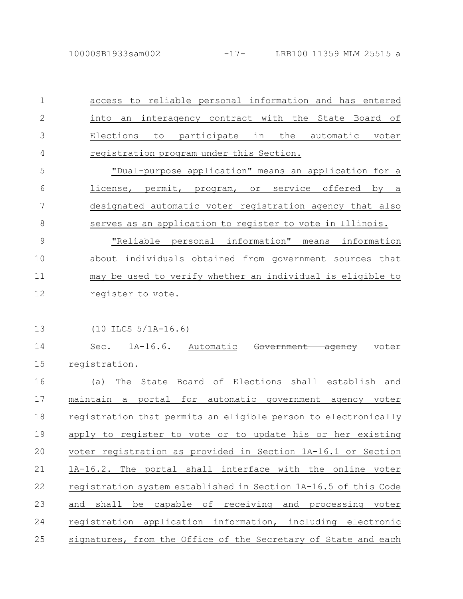access to reliable personal information and has entered into an interagency contract with the State Board of Elections to participate in the automatic voter registration program under this Section. "Dual-purpose application" means an application for a 1 2 3 4 5

license, permit, program, or service offered by a designated automatic voter registration agency that also serves as an application to register to vote in Illinois. 6 7 8

"Reliable personal information" means information about individuals obtained from government sources that may be used to verify whether an individual is eligible to register to vote. 9 10 11 12

(10 ILCS 5/1A-16.6) 13

Sec. 1A-16.6. Automatic <del>Government agency</del> voter registration. 14 15

(a) The State Board of Elections shall establish and maintain a portal for automatic government agency voter registration that permits an eligible person to electronically apply to register to vote or to update his or her existing voter registration as provided in Section 1A-16.1 or Section 1A-16.2. The portal shall interface with the online voter registration system established in Section 1A-16.5 of this Code and shall be capable of receiving and processing voter registration application information, including electronic signatures, from the Office of the Secretary of State and each 16 17 18 19 20 21 22 23 24 25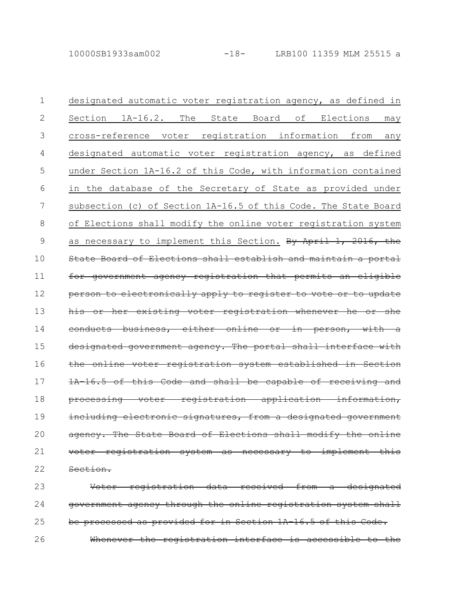| 1  | designated automatic voter registration agency, as defined in          |
|----|------------------------------------------------------------------------|
| 2  | $1A-16.2$ .<br>The<br>State Board<br>of<br>Elections<br>Section<br>may |
| 3  | registration information<br>cross-reference<br>voter<br>from<br>any    |
| 4  | designated automatic voter registration agency, as defined             |
| 5  | under Section 1A-16.2 of this Code, with information contained         |
| 6  | the database of the Secretary of State as provided under<br>in         |
| 7  | subsection (c) of Section 1A-16.5 of this Code. The State Board        |
| 8  | of Elections shall modify the online voter registration system         |
| 9  | as necessary to implement this Section. By April 1, 2016, the          |
| 10 | State Board of Elections shall establish and maintain a portal         |
| 11 | for government agency registration that permits an eligible            |
| 12 | person to electronically apply to register to vote or to update        |
| 13 | his or her existing voter registration whenever he or she              |
| 14 | conducts business, either online or in person, with a                  |
| 15 | designated government agency. The portal shall interface with          |
| 16 | the online voter registration system established in Section            |
| 17 | 1A 16.5 of this Code and shall be capable of receiving and             |
| 18 | processing voter registration application information,                 |
| 19 | including electronic signatures, from a designated government          |
| 20 | agency. The State Board of Elections shall modify the online           |
| 21 | voter registration system as necessary to implement this               |
| 22 | Section.                                                               |
| 23 | Voter registration data received from a designated                     |
| 24 | government agency through the online registration system shall         |
| 25 | be processed as provided for in Section 1A 16.5 of this Code.          |

Whenever the registration interface is accessible to the 26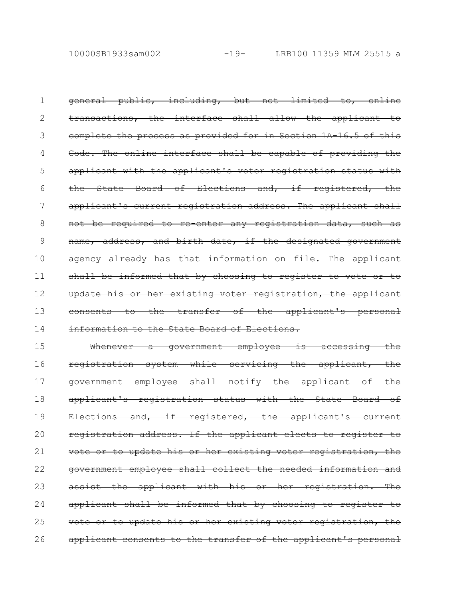general public, including, but not limited to, online transactions, the interface shall allow the applicant to complete the process as provided for in Section 1A-16.5 of this Code. The online interface shall be capable of providing the applicant with the applicant's voter registration status with the State Board of Elections and, if registered, applicant's current registration address. The applicant shall not be required to re enter any registration data, such as name, address, and birth date, if the designated government agency already has that information on file. The applicant shall be informed that by choosing to register to vote or to update his or her existing voter registration, the applicant consents to the transfer of the applicant's personal information to the State Board of Elections. 1 2 3 4 5 6 7 8 9 10 11 12 13 14

Whenever a government employee is accessing the registration system while servicing the applicant, the government employee shall notify the applicant of the applicant's registration status with the State Board of Elections and, if registered, the applicant's current registration address. If the applicant elects to register vote or to update his or her existing voter registration, the government employee shall collect the needed information and assist the applicant with his or her registration. The applicant shall be informed that by choosing to register to vote or to update his or her existing voter registration, applicant consents to the transfer of the applicant's personal 15 16 17 18 19 20 21 22 23 24 25 26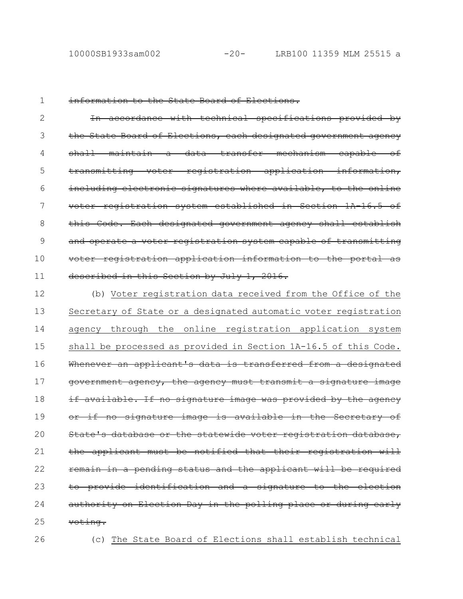1

#### information to the State Board of Elections.

In accordance with technical specifications provided by the State Board of Elections, each designated government agency shall maintain a data transfer mechanism capable of transmitting voter registration application information, including electronic signatures where available, to the online voter registration system established in Section 1A-16.5 of this Code. Each designated government agency shall establish and operate a voter registration system capable of transmitting voter registration application information to the portal as described in this Section by July 1, 2016. 2 3 4 5 6 7 8 9 10 11

(b) Voter registration data received from the Office of the Secretary of State or a designated automatic voter registration agency through the online registration application system shall be processed as provided in Section 1A-16.5 of this Code. Whenever an applicant's data is transferred from a designated government agency, the agency must transmit a signature image if available. If no signature image was provided by the agency or if no signature image is available in the Secretary of State's database or the statewide voter registration database, the applicant must be notified that their registration will remain in a pending status and the applicant will be required to provide identification and a signature to the election authority on Election Day in the polling place or during early voting. 12 13 14 15 16 17 18 19 20 21 22 23 24 25

- 26
- (c) The State Board of Elections shall establish technical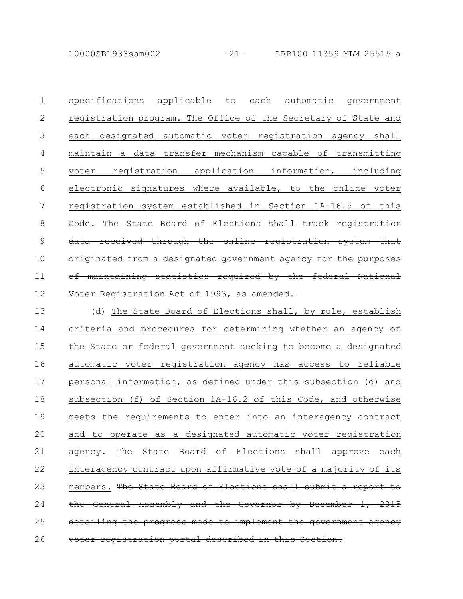10000SB1933sam002 -21- LRB100 11359 MLM 25515 a

specifications applicable to each automatic government registration program. The Office of the Secretary of State and each designated automatic voter registration agency shall maintain a data transfer mechanism capable of transmitting voter registration application information, including electronic signatures where available, to the online voter registration system established in Section 1A-16.5 of this Code. The State Board of Elections shall track registration received through the online registration system originated from a designated government agency for the purposes maintaining statistics required by the federal Voter Registration Act of 1993, as amended. 1 2 3 4 5 6 7 8 9 10 11 12

(d) The State Board of Elections shall, by rule, establish criteria and procedures for determining whether an agency of the State or federal government seeking to become a designated automatic voter registration agency has access to reliable personal information, as defined under this subsection (d) and subsection (f) of Section 1A-16.2 of this Code, and otherwise meets the requirements to enter into an interagency contract and to operate as a designated automatic voter registration agency. The State Board of Elections shall approve each interagency contract upon affirmative vote of a majority of its members. The State Board of Elections shall submit a report the General Assembly and the Governor by December progress made to implement registration portal described in 13 14 15 16 17 18 19 20 21 22 23 24 25 26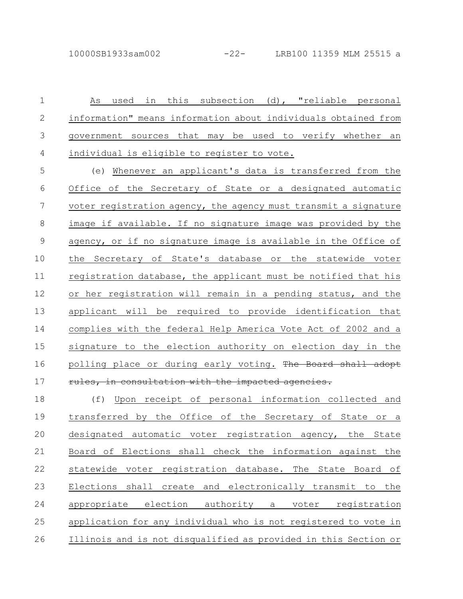As used in this subsection (d), "reliable personal information" means information about individuals obtained from government sources that may be used to verify whether an individual is eligible to register to vote. 1 2 3 4

(e) Whenever an applicant's data is transferred from the Office of the Secretary of State or a designated automatic voter registration agency, the agency must transmit a signature image if available. If no signature image was provided by the agency, or if no signature image is available in the Office of the Secretary of State's database or the statewide voter registration database, the applicant must be notified that his or her registration will remain in a pending status, and the applicant will be required to provide identification that complies with the federal Help America Vote Act of 2002 and a signature to the election authority on election day in the polling place or during early voting. The Board shall adopt rules, in consultation with the impacted agencies. 5 6 7 8 9 10 11 12 13 14 15 16 17

(f) Upon receipt of personal information collected and transferred by the Office of the Secretary of State or a designated automatic voter registration agency, the State Board of Elections shall check the information against the statewide voter registration database. The State Board of Elections shall create and electronically transmit to the appropriate election authority a voter registration application for any individual who is not registered to vote in Illinois and is not disqualified as provided in this Section or 18 19 20 21 22 23 24 25 26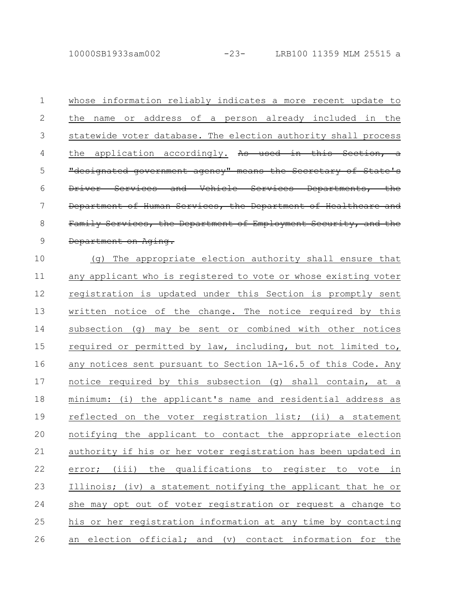10000SB1933sam002 -23- LRB100 11359 MLM 25515 a

whose information reliably indicates a more recent update to

1

the name or address of a person already included in the statewide voter database. The election authority shall process the application accordingly. As used in this Section "designated government agency" means the Secretary of State Services and Vehicle Services Department of Human Services, the Department of Healthcare Family Services, the Department of Employment Department on Aging. (g) The appropriate election authority shall ensure that any applicant who is registered to vote or whose existing voter registration is updated under this Section is promptly sent written notice of the change. The notice required by this subsection (g) may be sent or combined with other notices required or permitted by law, including, but not limited to, any notices sent pursuant to Section 1A-16.5 of this Code. Any notice required by this subsection (g) shall contain, at a minimum: (i) the applicant's name and residential address as reflected on the voter registration list; (ii) a statement notifying the applicant to contact the appropriate election authority if his or her voter registration has been updated in error; (iii) the qualifications to register to vote in Illinois; (iv) a statement notifying the applicant that he or she may opt out of voter registration or request a change to his or her registration information at any time by contacting an election official; and (v) contact information for the 2 3 4 5 6 7 8 9 10 11 12 13 14 15 16 17 18 19 20 21 22 23 24 25 26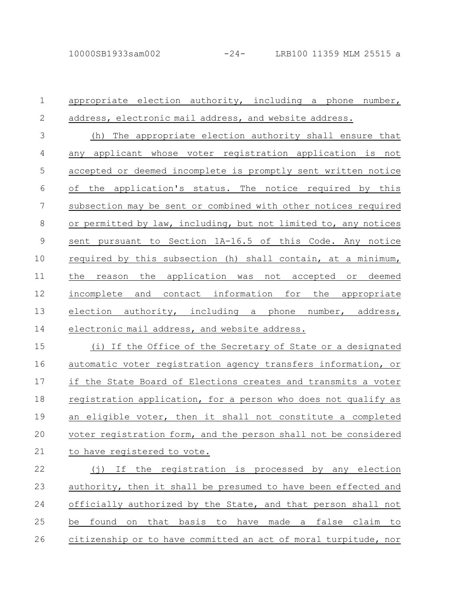appropriate election authority, including a phone number, address, electronic mail address, and website address. (h) The appropriate election authority shall ensure that any applicant whose voter registration application is not accepted or deemed incomplete is promptly sent written notice of the application's status. The notice required by this subsection may be sent or combined with other notices required or permitted by law, including, but not limited to, any notices sent pursuant to Section 1A-16.5 of this Code. Any notice required by this subsection (h) shall contain, at a minimum, the reason the application was not accepted or deemed incomplete and contact information for the appropriate election authority, including a phone number, address, electronic mail address, and website address. (i) If the Office of the Secretary of State or a designated automatic voter registration agency transfers information, or if the State Board of Elections creates and transmits a voter registration application, for a person who does not qualify as an eligible voter, then it shall not constitute a completed voter registration form, and the person shall not be considered to have registered to vote. (j) If the registration is processed by any election authority, then it shall be presumed to have been effected and officially authorized by the State, and that person shall not be found on that basis to have made a false claim to 1 2 3 4 5 6 7 8 9 10 11 12 13 14 15 16 17 18 19 20 21 22 23 24 25

citizenship or to have committed an act of moral turpitude, nor 26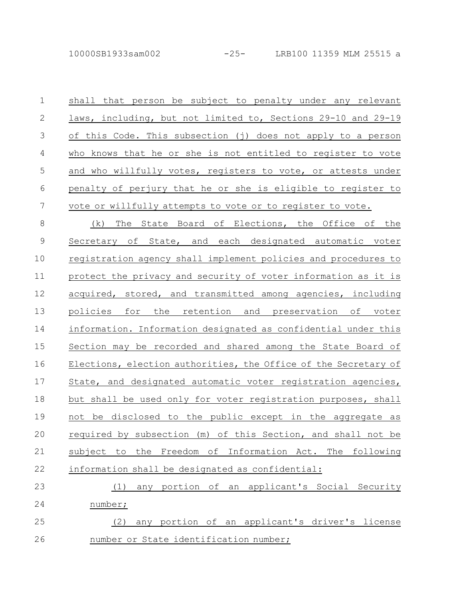| $\mathbf 1$    | shall that person be subject to penalty under any relevant      |
|----------------|-----------------------------------------------------------------|
| $\mathbf{2}$   | laws, including, but not limited to, Sections 29-10 and 29-19   |
| $\mathfrak{Z}$ | of this Code. This subsection (j) does not apply to a person    |
| $\overline{4}$ | who knows that he or she is not entitled to register to vote    |
| 5              | and who willfully votes, registers to vote, or attests under    |
| 6              | penalty of perjury that he or she is eligible to register to    |
| 7              | vote or willfully attempts to vote or to register to vote.      |
| 8              | (k) The State Board of Elections, the Office of the             |
| $\mathsf 9$    | Secretary of State, and each designated automatic voter         |
| 10             | registration agency shall implement policies and procedures to  |
| 11             | protect the privacy and security of voter information as it is  |
| 12             | acquired, stored, and transmitted among agencies, including     |
| 13             | policies for the retention and preservation of voter            |
| 14             | information. Information designated as confidential under this  |
| 15             | Section may be recorded and shared among the State Board of     |
| 16             | Elections, election authorities, the Office of the Secretary of |
| 17             | State, and designated automatic voter registration agencies,    |
| 18             | but shall be used only for voter registration purposes, shall   |
| 19             | not be disclosed to the public except in the aggregate as       |
| 20             | required by subsection (m) of this Section, and shall not be    |
| 21             | subject to the Freedom of Information Act. The following        |
| 22             | information shall be designated as confidential:                |
| 23             | any portion of an applicant's Social Security<br>(1)            |
| 24             | number;                                                         |

(2) any portion of an applicant's driver's license number or State identification number; 25 26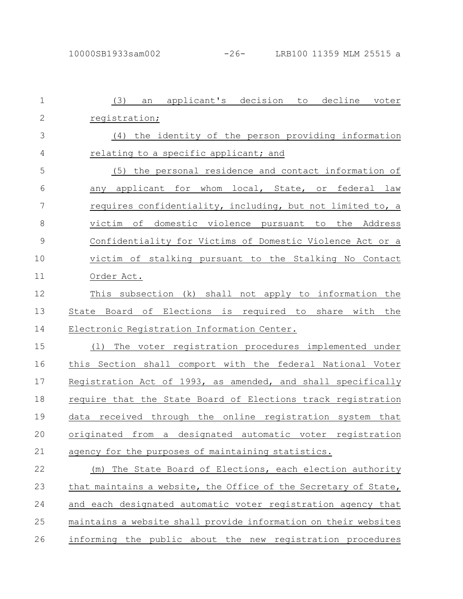| $\mathbf{1}$  | an applicant's decision to decline voter<br>(3)                       |
|---------------|-----------------------------------------------------------------------|
| $\mathbf{2}$  | registration;                                                         |
| 3             | (4) the identity of the person providing information                  |
| 4             | relating to a specific applicant; and                                 |
| 5             | (5) the personal residence and contact information of                 |
| 6             | any applicant for whom local, State, or federal law                   |
| 7             | requires confidentiality, including, but not limited to, a            |
| 8             | victim of domestic violence pursuant to the Address                   |
| $\mathcal{G}$ | Confidentiality for Victims of Domestic Violence Act or a             |
| 10            | victim of stalking pursuant to the Stalking No Contact                |
| 11            | Order Act.                                                            |
| 12            | This subsection (k) shall not apply to information the                |
| 13            | State Board of Elections is required to share with the                |
| 14            | Electronic Registration Information Center.                           |
| 15            | The voter registration procedures implemented under<br>(1)            |
| 16            | this Section shall comport with the federal National Voter            |
| 17            | Registration Act of 1993, as amended, and shall specifically          |
| 18            | require that the State Board of Elections track registration          |
| 19            | data received through the online registration system that             |
| 20            | automatic voter<br>designated<br>originated<br>from a<br>registration |
| 21            | agency for the purposes of maintaining statistics.                    |
| 22            | The State Board of Elections, each election authority<br>(m)          |
| 23            | that maintains a website, the Office of the Secretary of State,       |
| 24            | and each designated automatic voter registration agency that          |
| 25            | maintains a website shall provide information on their websites       |
| 26            | informing the public about the new registration procedures            |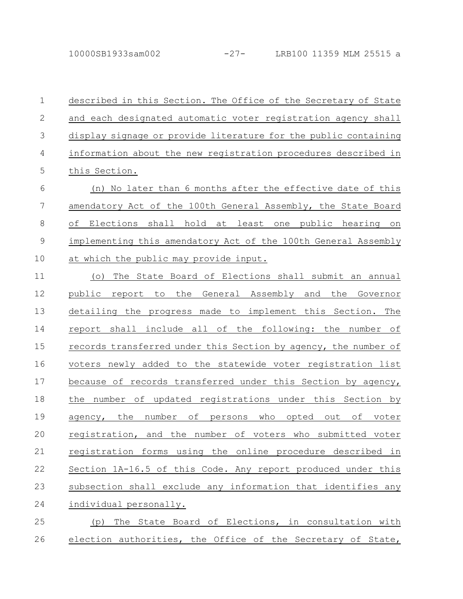described in this Section. The Office of the Secretary of State and each designated automatic voter registration agency shall display signage or provide literature for the public containing information about the new registration procedures described in this Section. 1 2 3 4 5

(n) No later than 6 months after the effective date of this amendatory Act of the 100th General Assembly, the State Board of Elections shall hold at least one public hearing on implementing this amendatory Act of the 100th General Assembly at which the public may provide input. 6 7 8 9 10

(o) The State Board of Elections shall submit an annual public report to the General Assembly and the Governor detailing the progress made to implement this Section. The report shall include all of the following: the number of records transferred under this Section by agency, the number of voters newly added to the statewide voter registration list because of records transferred under this Section by agency, the number of updated registrations under this Section by agency, the number of persons who opted out of voter registration, and the number of voters who submitted voter registration forms using the online procedure described in Section 1A-16.5 of this Code. Any report produced under this subsection shall exclude any information that identifies any individual personally. 11 12 13 14 15 16 17 18 19 20 21 22 23 24

(p) The State Board of Elections, in consultation with election authorities, the Office of the Secretary of State, 25 26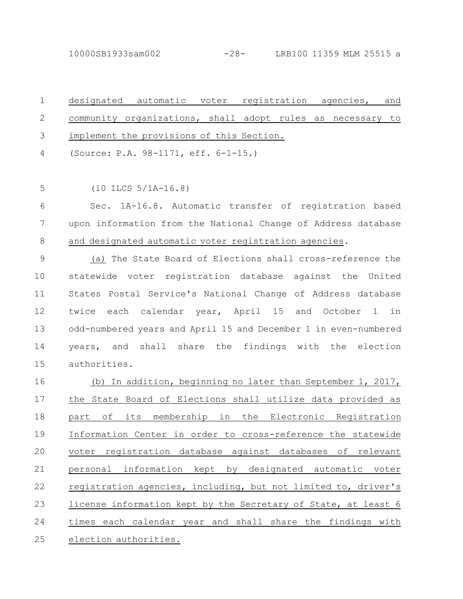10000SB1933sam002 -28- LRB100 11359 MLM 25515 a

designated automatic voter registration agencies, and community organizations, shall adopt rules as necessary to implement the provisions of this Section. (Source: P.A. 98-1171, eff. 6-1-15.) 1 2 3 4

(10 ILCS 5/1A-16.8) 5

Sec. 1A-16.8. Automatic transfer of registration based upon information from the National Change of Address database and designated automatic voter registration agencies. 6 7 8

(a) The State Board of Elections shall cross-reference the statewide voter registration database against the United States Postal Service's National Change of Address database twice each calendar year, April 15 and October 1 in odd-numbered years and April 15 and December 1 in even-numbered years, and shall share the findings with the election authorities. 9 10 11 12 13 14 15

(b) In addition, beginning no later than September 1, 2017, the State Board of Elections shall utilize data provided as part of its membership in the Electronic Registration Information Center in order to cross-reference the statewide voter registration database against databases of relevant personal information kept by designated automatic voter registration agencies, including, but not limited to, driver's license information kept by the Secretary of State, at least 6 times each calendar year and shall share the findings with election authorities. 16 17 18 19 20 21 22 23 24 25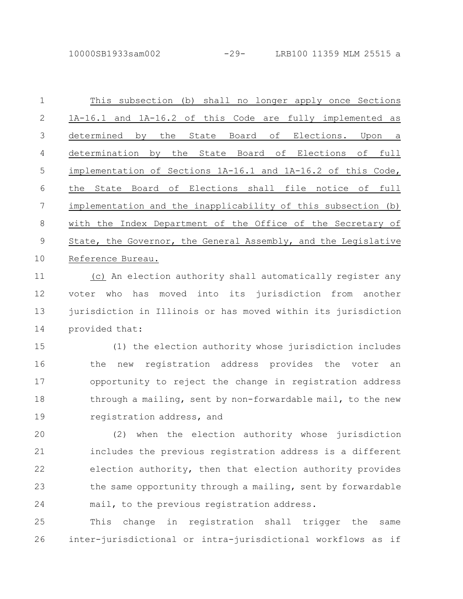10000SB1933sam002 -29- LRB100 11359 MLM 25515 a

| $\mathbf 1$  | This subsection (b) shall no longer apply once Sections        |
|--------------|----------------------------------------------------------------|
| $\mathbf{2}$ | 1A-16.1 and 1A-16.2 of this Code are fully implemented as      |
| 3            | by the State Board of Elections. Upon a<br>determined          |
| 4            | determination by the State Board of Elections of full          |
| 5            | implementation of Sections 1A-16.1 and 1A-16.2 of this Code,   |
| 6            | State Board of Elections shall file notice of full<br>the      |
| 7            | implementation and the inapplicability of this subsection (b)  |
| 8            | with the Index Department of the Office of the Secretary of    |
| 9            | State, the Governor, the General Assembly, and the Legislative |
| 10           | Reference Bureau.                                              |
| 11           |                                                                |

(c) An election authority shall automatically register any voter who has moved into its jurisdiction from another jurisdiction in Illinois or has moved within its jurisdiction provided that: 11 12 13 14

(1) the election authority whose jurisdiction includes the new registration address provides the voter an opportunity to reject the change in registration address through a mailing, sent by non-forwardable mail, to the new registration address, and 15 16 17 18 19

(2) when the election authority whose jurisdiction includes the previous registration address is a different election authority, then that election authority provides the same opportunity through a mailing, sent by forwardable mail, to the previous registration address. 20 21 22 23 24

This change in registration shall trigger the same inter-jurisdictional or intra-jurisdictional workflows as if 25 26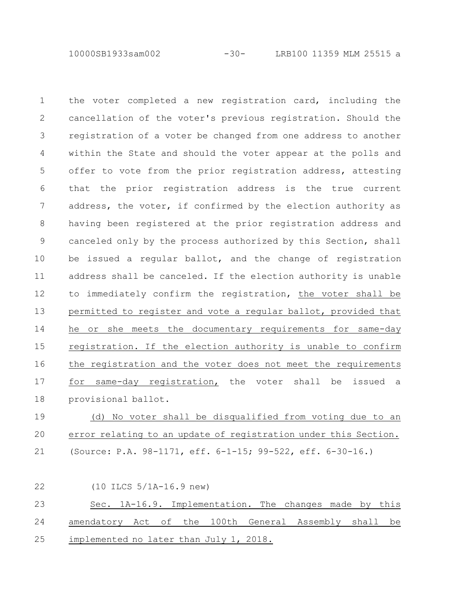10000SB1933sam002 -30- LRB100 11359 MLM 25515 a

the voter completed a new registration card, including the cancellation of the voter's previous registration. Should the registration of a voter be changed from one address to another within the State and should the voter appear at the polls and offer to vote from the prior registration address, attesting that the prior registration address is the true current address, the voter, if confirmed by the election authority as having been registered at the prior registration address and canceled only by the process authorized by this Section, shall be issued a regular ballot, and the change of registration address shall be canceled. If the election authority is unable to immediately confirm the registration, the voter shall be permitted to register and vote a regular ballot, provided that he or she meets the documentary requirements for same-day registration. If the election authority is unable to confirm the registration and the voter does not meet the requirements for same-day registration, the voter shall be issued a provisional ballot. 1 2 3 4 5 6 7 8 9 10 11 12 13 14 15 16 17 18

(d) No voter shall be disqualified from voting due to an error relating to an update of registration under this Section. (Source: P.A. 98-1171, eff. 6-1-15; 99-522, eff. 6-30-16.) 19 20 21

(10 ILCS 5/1A-16.9 new) Sec. 1A-16.9. Implementation. The changes made by this amendatory Act of the 100th General Assembly shall be implemented no later than July 1, 2018. 22 23 24 25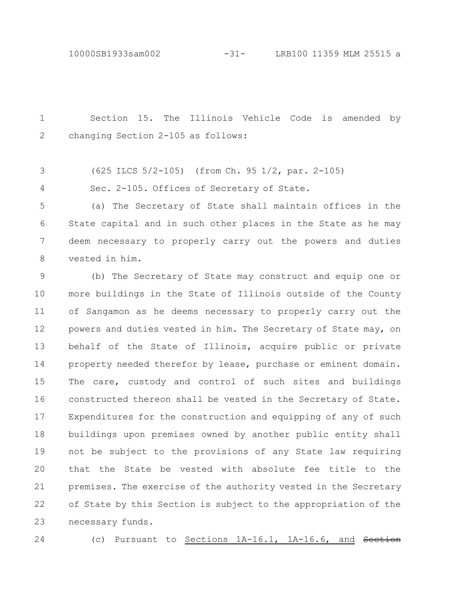10000SB1933sam002 -31- LRB100 11359 MLM 25515 a

Section 15. The Illinois Vehicle Code is amended by changing Section 2-105 as follows: 1 2

(625 ILCS 5/2-105) (from Ch. 95 1/2, par. 2-105) 3

Sec. 2-105. Offices of Secretary of State. 4

(a) The Secretary of State shall maintain offices in the State capital and in such other places in the State as he may deem necessary to properly carry out the powers and duties vested in him. 5 6 7 8

(b) The Secretary of State may construct and equip one or more buildings in the State of Illinois outside of the County of Sangamon as he deems necessary to properly carry out the powers and duties vested in him. The Secretary of State may, on behalf of the State of Illinois, acquire public or private property needed therefor by lease, purchase or eminent domain. The care, custody and control of such sites and buildings constructed thereon shall be vested in the Secretary of State. Expenditures for the construction and equipping of any of such buildings upon premises owned by another public entity shall not be subject to the provisions of any State law requiring that the State be vested with absolute fee title to the premises. The exercise of the authority vested in the Secretary of State by this Section is subject to the appropriation of the necessary funds. 9 10 11 12 13 14 15 16 17 18 19 20 21 22 23

24

(c) Pursuant to Sections 1A-16.1, 1A-16.6, and Section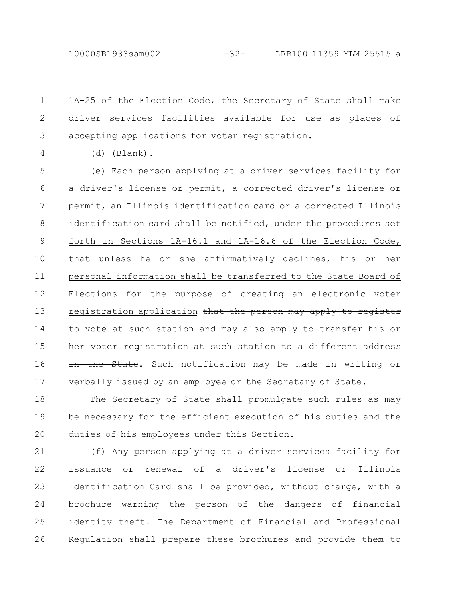1A-25 of the Election Code, the Secretary of State shall make driver services facilities available for use as places of accepting applications for voter registration. 1 2 3

4

(d) (Blank).

(e) Each person applying at a driver services facility for a driver's license or permit, a corrected driver's license or permit, an Illinois identification card or a corrected Illinois identification card shall be notified, under the procedures set forth in Sections 1A-16.1 and 1A-16.6 of the Election Code, that unless he or she affirmatively declines, his or her personal information shall be transferred to the State Board of Elections for the purpose of creating an electronic voter registration application that the person may apply to register vote at such station and may also apply her voter registration at such station to a different address in the State. Such notification may be made in writing or verbally issued by an employee or the Secretary of State. 5 6 7 8 9 10 11 12 13 14 15 16 17

The Secretary of State shall promulgate such rules as may be necessary for the efficient execution of his duties and the duties of his employees under this Section. 18 19 20

(f) Any person applying at a driver services facility for issuance or renewal of a driver's license or Illinois Identification Card shall be provided, without charge, with a brochure warning the person of the dangers of financial identity theft. The Department of Financial and Professional Regulation shall prepare these brochures and provide them to 21 22 23 24 25 26